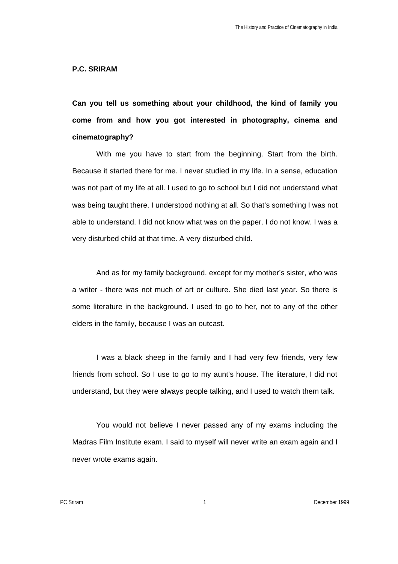## **P.C. SRIRAM**

**Can you tell us something about your childhood, the kind of family you come from and how you got interested in photography, cinema and cinematography?**

With me you have to start from the beginning. Start from the birth. Because it started there for me. I never studied in my life. In a sense, education was not part of my life at all. I used to go to school but I did not understand what was being taught there. I understood nothing at all. So that's something I was not able to understand. I did not know what was on the paper. I do not know. I was a very disturbed child at that time. A very disturbed child.

And as for my family background, except for my mother's sister, who was a writer - there was not much of art or culture. She died last year. So there is some literature in the background. I used to go to her, not to any of the other elders in the family, because I was an outcast.

I was a black sheep in the family and I had very few friends, very few friends from school. So I use to go to my aunt's house. The literature, I did not understand, but they were always people talking, and I used to watch them talk.

You would not believe I never passed any of my exams including the Madras Film Institute exam. I said to myself will never write an exam again and I never wrote exams again.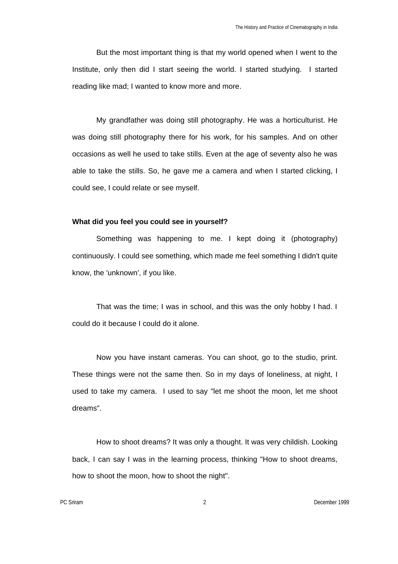But the most important thing is that my world opened when I went to the Institute, only then did I start seeing the world. I started studying. I started reading like mad; I wanted to know more and more.

My grandfather was doing still photography. He was a horticulturist. He was doing still photography there for his work, for his samples. And on other occasions as well he used to take stills. Even at the age of seventy also he was able to take the stills. So, he gave me a camera and when I started clicking, I could see, I could relate or see myself.

## **What did you feel you could see in yourself?**

Something was happening to me. I kept doing it (photography) continuously. I could see something, which made me feel something I didn't quite know, the 'unknown', if you like.

That was the time; I was in school, and this was the only hobby I had. I could do it because I could do it alone.

Now you have instant cameras. You can shoot, go to the studio, print. These things were not the same then. So in my days of loneliness, at night, I used to take my camera. I used to say "let me shoot the moon, let me shoot dreams".

How to shoot dreams? It was only a thought. It was very childish. Looking back, I can say I was in the learning process, thinking "How to shoot dreams, how to shoot the moon, how to shoot the night".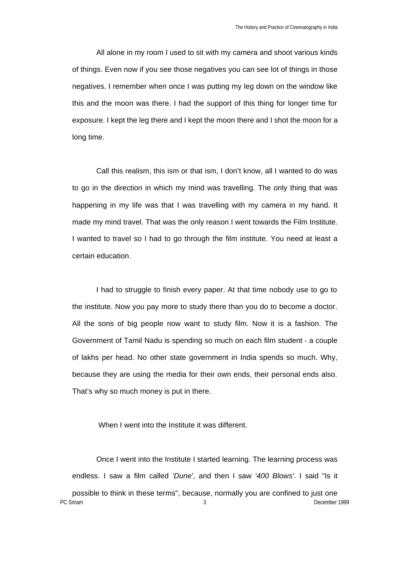All alone in my room I used to sit with my camera and shoot various kinds of things. Even now if you see those negatives you can see lot of things in those negatives. I remember when once I was putting my leg down on the window like this and the moon was there. I had the support of this thing for longer time for exposure. I kept the leg there and I kept the moon there and I shot the moon for a long time.

Call this realism, this ism or that ism, I don't know, all I wanted to do was to go in the direction in which my mind was travelling. The only thing that was happening in my life was that I was travelling with my camera in my hand. It made my mind travel. That was the only reason I went towards the Film Institute. I wanted to travel so I had to go through the film institute. You need at least a certain education.

I had to struggle to finish every paper. At that time nobody use to go to the institute. Now you pay more to study there than you do to become a doctor. All the sons of big people now want to study film. Now it is a fashion. The Government of Tamil Nadu is spending so much on each film student - a couple of lakhs per head. No other state government in India spends so much. Why, because they are using the media for their own ends, their personal ends also. That's why so much money is put in there.

## When I went into the Institute it was different.

PC Sriram 3 December 1999 Once I went into the Institute I started learning. The learning process was endless. I saw a film called *'Dune'*, and then I saw *'400 Blows'*. I said "Is it possible to think in these terms", because, normally you are confined to just one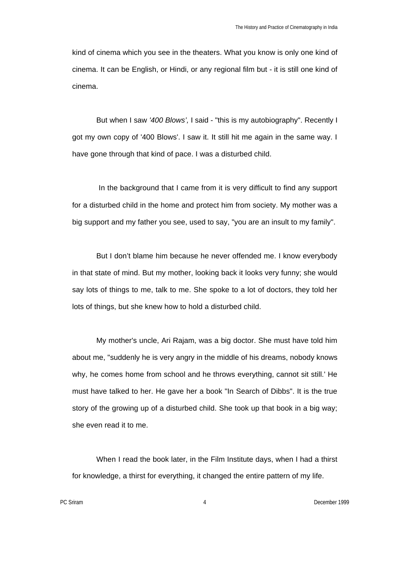kind of cinema which you see in the theaters. What you know is only one kind of cinema. It can be English, or Hindi, or any regional film but - it is still one kind of cinema.

But when I saw *'400 Blows',* I said - "this is my autobiography". Recently I got my own copy of '400 Blows'. I saw it. It still hit me again in the same way. I have gone through that kind of pace. I was a disturbed child.

 In the background that I came from it is very difficult to find any support for a disturbed child in the home and protect him from society. My mother was a big support and my father you see, used to say, "you are an insult to my family".

But I don't blame him because he never offended me. I know everybody in that state of mind. But my mother, looking back it looks very funny; she would say lots of things to me, talk to me. She spoke to a lot of doctors, they told her lots of things, but she knew how to hold a disturbed child.

My mother's uncle, Ari Rajam, was a big doctor. She must have told him about me, "suddenly he is very angry in the middle of his dreams, nobody knows why, he comes home from school and he throws everything, cannot sit still.' He must have talked to her. He gave her a book "In Search of Dibbs". It is the true story of the growing up of a disturbed child. She took up that book in a big way; she even read it to me.

When I read the book later, in the Film Institute days, when I had a thirst for knowledge, a thirst for everything, it changed the entire pattern of my life.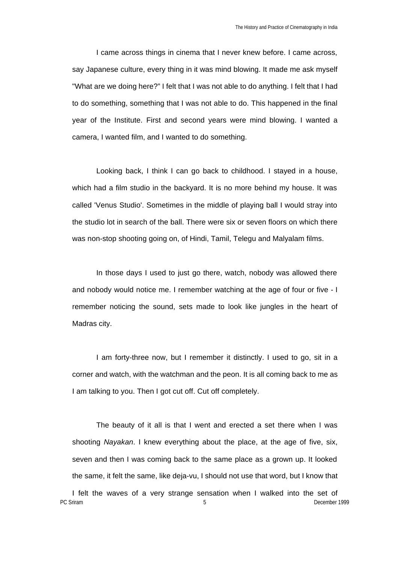I came across things in cinema that I never knew before. I came across, say Japanese culture, every thing in it was mind blowing. It made me ask myself "What are we doing here?" I felt that I was not able to do anything. I felt that I had to do something, something that I was not able to do. This happened in the final year of the Institute. First and second years were mind blowing. I wanted a camera, I wanted film, and I wanted to do something.

Looking back, I think I can go back to childhood. I stayed in a house, which had a film studio in the backyard. It is no more behind my house. It was called 'Venus Studio'. Sometimes in the middle of playing ball I would stray into the studio lot in search of the ball. There were six or seven floors on which there was non-stop shooting going on, of Hindi, Tamil, Telegu and Malyalam films.

In those days I used to just go there, watch, nobody was allowed there and nobody would notice me. I remember watching at the age of four or five - I remember noticing the sound, sets made to look like jungles in the heart of Madras city.

I am forty-three now, but I remember it distinctly. I used to go, sit in a corner and watch, with the watchman and the peon. It is all coming back to me as I am talking to you. Then I got cut off. Cut off completely.

The beauty of it all is that I went and erected a set there when I was shooting *Nayakan*. I knew everything about the place, at the age of five, six, seven and then I was coming back to the same place as a grown up. It looked the same, it felt the same, like deja-vu, I should not use that word, but I know that

PC Sriram **1999** December 1999 I felt the waves of a very strange sensation when I walked into the set of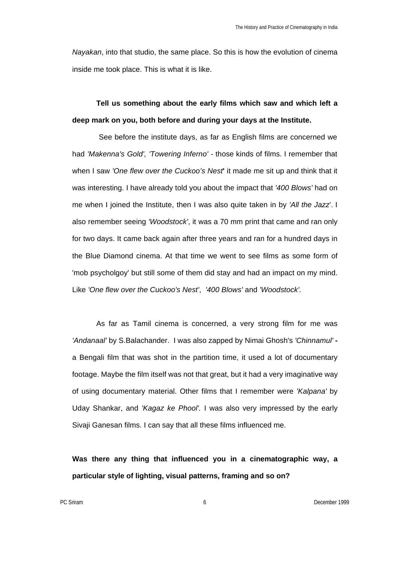*Nayakan*, into that studio, the same place. So this is how the evolution of cinema inside me took place. This is what it is like.

# **Tell us something about the early films which saw and which left a deep mark on you, both before and during your days at the Institute.**

 See before the institute days, as far as English films are concerned we had *'Makenna's Gold', 'Towering Inferno' -* those kinds of films. I remember that when I saw *'One flew over the Cuckoo's Nest***'** it made me sit up and think that it was interesting. I have already told you about the impact that *'400 Blows'* had on me when I joined the Institute, then I was also quite taken in by *'All the Jazz*'. I also remember seeing *'Woodstock'*, it was a 70 mm print that came and ran only for two days. It came back again after three years and ran for a hundred days in the Blue Diamond cinema. At that time we went to see films as some form of 'mob psycholgoy' but still some of them did stay and had an impact on my mind. Like *'One flew over the Cuckoo's Nest'*, *'400 Blows'* and *'Woodstock'.*

As far as Tamil cinema is concerned, a very strong film for me was *'Andanaal'* by S.Balachander. I was also zapped by Nimai Ghosh's *'Chinnamul'*  a Bengali film that was shot in the partition time, it used a lot of documentary footage. Maybe the film itself was not that great, but it had a very imaginative way of using documentary material. Other films that I remember were *'Kalpana'* by Uday Shankar, and *'Kagaz ke Phool'.* I was also very impressed by the early Sivaji Ganesan films. I can say that all these films influenced me.

**Was there any thing that influenced you in a cinematographic way, a particular style of lighting, visual patterns, framing and so on?**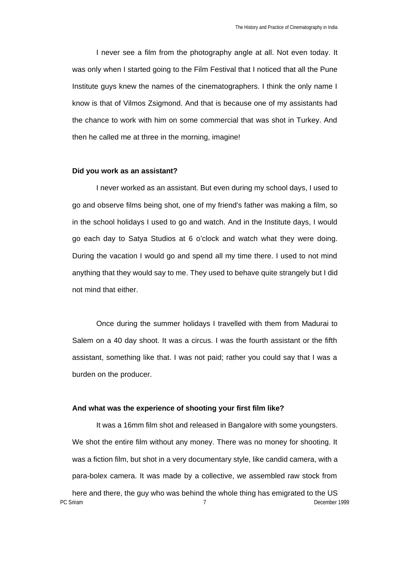I never see a film from the photography angle at all. Not even today. It was only when I started going to the Film Festival that I noticed that all the Pune Institute guys knew the names of the cinematographers. I think the only name I know is that of Vilmos Zsigmond. And that is because one of my assistants had the chance to work with him on some commercial that was shot in Turkey. And then he called me at three in the morning, imagine!

### **Did you work as an assistant?**

I never worked as an assistant. But even during my school days, I used to go and observe films being shot, one of my friend's father was making a film, so in the school holidays I used to go and watch. And in the Institute days, I would go each day to Satya Studios at 6 o'clock and watch what they were doing. During the vacation I would go and spend all my time there. I used to not mind anything that they would say to me. They used to behave quite strangely but I did not mind that either.

Once during the summer holidays I travelled with them from Madurai to Salem on a 40 day shoot. It was a circus. I was the fourth assistant or the fifth assistant, something like that. I was not paid; rather you could say that I was a burden on the producer.

# **And what was the experience of shooting your first film like?**

PC Sriram December 1999 It was a 16mm film shot and released in Bangalore with some youngsters. We shot the entire film without any money. There was no money for shooting. It was a fiction film, but shot in a very documentary style, like candid camera, with a para-bolex camera. It was made by a collective, we assembled raw stock from here and there, the guy who was behind the whole thing has emigrated to the US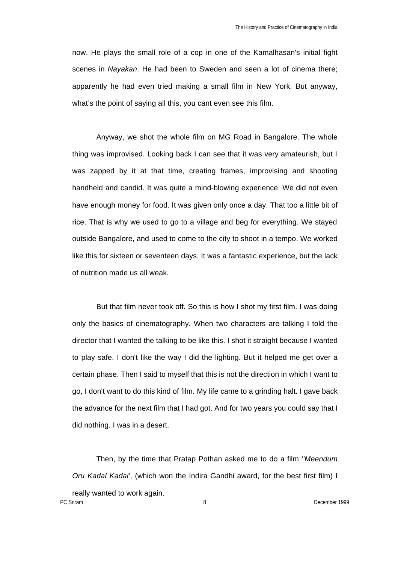now. He plays the small role of a cop in one of the Kamalhasan's initial fight scenes in *Nayakan*. He had been to Sweden and seen a lot of cinema there; apparently he had even tried making a small film in New York. But anyway, what's the point of saying all this, you cant even see this film.

Anyway, we shot the whole film on MG Road in Bangalore. The whole thing was improvised. Looking back I can see that it was very amateurish, but I was zapped by it at that time, creating frames, improvising and shooting handheld and candid. It was quite a mind-blowing experience. We did not even have enough money for food. It was given only once a day. That too a little bit of rice. That is why we used to go to a village and beg for everything. We stayed outside Bangalore, and used to come to the city to shoot in a tempo. We worked like this for sixteen or seventeen days. It was a fantastic experience, but the lack of nutrition made us all weak.

But that film never took off. So this is how I shot my first film. I was doing only the basics of cinematography. When two characters are talking I told the director that I wanted the talking to be like this. I shot it straight because I wanted to play safe. I don't like the way I did the lighting. But it helped me get over a certain phase. Then I said to myself that this is not the direction in which I want to go, I don't want to do this kind of film. My life came to a grinding halt. I gave back the advance for the next film that I had got. And for two years you could say that I did nothing. I was in a desert.

Then, by the time that Pratap Pothan asked me to do a film '*'Meendum Oru Kadal Kadai'*, (which won the Indira Gandhi award, for the best first film) I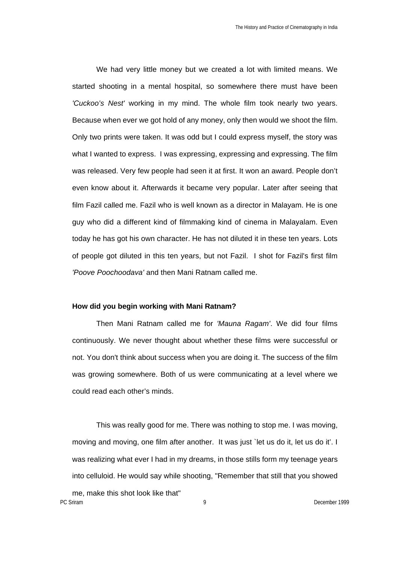We had very little money but we created a lot with limited means. We started shooting in a mental hospital, so somewhere there must have been *'Cuckoo's Nest'* working in my mind. The whole film took nearly two years. Because when ever we got hold of any money, only then would we shoot the film. Only two prints were taken. It was odd but I could express myself, the story was what I wanted to express. I was expressing, expressing and expressing. The film was released. Very few people had seen it at first. It won an award. People don't even know about it. Afterwards it became very popular. Later after seeing that film Fazil called me. Fazil who is well known as a director in Malayam. He is one guy who did a different kind of filmmaking kind of cinema in Malayalam. Even today he has got his own character. He has not diluted it in these ten years. Lots of people got diluted in this ten years, but not Fazil. I shot for Fazil's first film *'Poove Poochoodava'* and then Mani Ratnam called me.

#### **How did you begin working with Mani Ratnam?**

Then Mani Ratnam called me for *'Mauna Ragam'*. We did four films continuously. We never thought about whether these films were successful or not. You don't think about success when you are doing it. The success of the film was growing somewhere. Both of us were communicating at a level where we could read each other's minds.

This was really good for me. There was nothing to stop me. I was moving, moving and moving, one film after another. It was just `let us do it, let us do it'. I was realizing what ever I had in my dreams, in those stills form my teenage years into celluloid. He would say while shooting, "Remember that still that you showed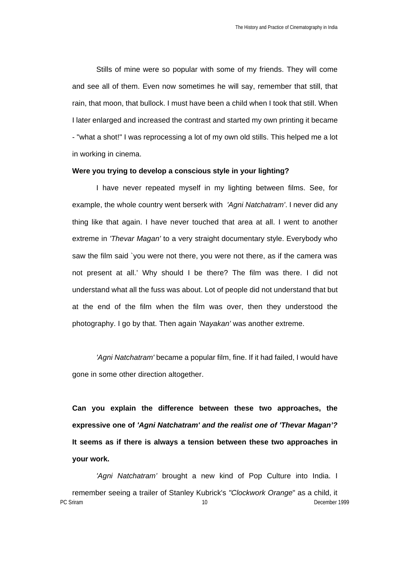Stills of mine were so popular with some of my friends. They will come and see all of them. Even now sometimes he will say, remember that still, that rain, that moon, that bullock. I must have been a child when I took that still. When I later enlarged and increased the contrast and started my own printing it became - "what a shot!" I was reprocessing a lot of my own old stills. This helped me a lot in working in cinema.

### **Were you trying to develop a conscious style in your lighting?**

I have never repeated myself in my lighting between films. See, for example, the whole country went berserk with *'Agni Natchatram'*. I never did any thing like that again. I have never touched that area at all. I went to another extreme in *'Thevar Magan'* to a very straight documentary style. Everybody who saw the film said `you were not there, you were not there, as if the camera was not present at all.' Why should I be there? The film was there. I did not understand what all the fuss was about. Lot of people did not understand that but at the end of the film when the film was over, then they understood the photography. I go by that. Then again *'Nayakan'* was another extreme.

*'Agni Natchatram'* became a popular film, fine. If it had failed, I would have gone in some other direction altogether.

**Can you explain the difference between these two approaches, the expressive one of** *'Agni Natchatram' and the realist one of 'Thevar Magan'?*  **It seems as if there is always a tension between these two approaches in your work.**

PC Sriram **10** December 1999 *'Agni Natchatram'* brought a new kind of Pop Culture into India. I remember seeing a trailer of Stanley Kubrick's *"Clockwork Orange*" as a child, it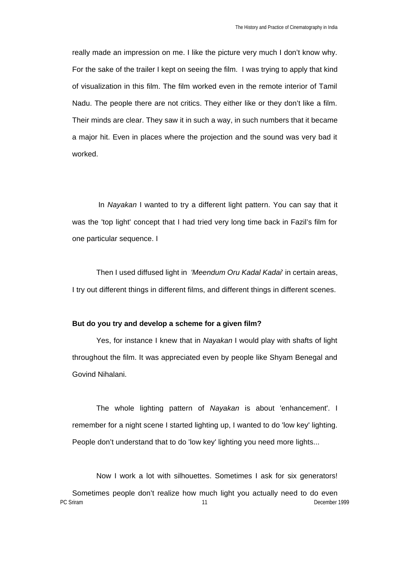really made an impression on me. I like the picture very much I don't know why. For the sake of the trailer I kept on seeing the film. I was trying to apply that kind of visualization in this film. The film worked even in the remote interior of Tamil Nadu. The people there are not critics. They either like or they don't like a film. Their minds are clear. They saw it in such a way, in such numbers that it became a major hit. Even in places where the projection and the sound was very bad it worked.

 In *Nayakan* I wanted to try a different light pattern. You can say that it was the 'top light' concept that I had tried very long time back in Fazil's film for one particular sequence. I

Then I used diffused light in *'Meendum Oru Kadal Kadai*' in certain areas, I try out different things in different films, and different things in different scenes.

## **But do you try and develop a scheme for a given film?**

Yes, for instance I knew that in *Nayakan* I would play with shafts of light throughout the film. It was appreciated even by people like Shyam Benegal and Govind Nihalani.

The whole lighting pattern of *Nayakan* is about 'enhancement'. I remember for a night scene I started lighting up, I wanted to do 'low key' lighting. People don't understand that to do 'low key' lighting you need more lights...

PC Sriram **11** December 1999 Now I work a lot with silhouettes. Sometimes I ask for six generators! Sometimes people don't realize how much light you actually need to do even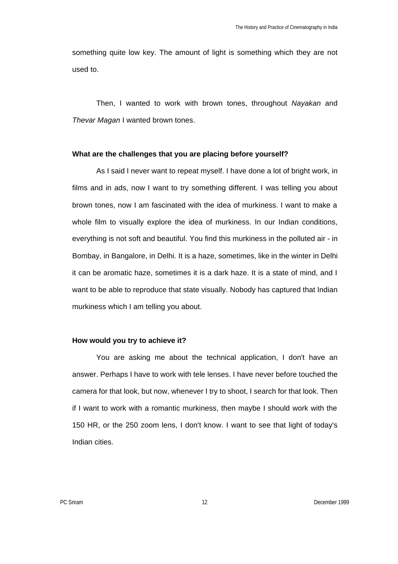something quite low key. The amount of light is something which they are not used to.

Then, I wanted to work with brown tones, throughout *Nayakan* and *Thevar Magan* I wanted brown tones.

## **What are the challenges that you are placing before yourself?**

As I said I never want to repeat myself. I have done a lot of bright work, in films and in ads, now I want to try something different. I was telling you about brown tones, now I am fascinated with the idea of murkiness. I want to make a whole film to visually explore the idea of murkiness. In our Indian conditions, everything is not soft and beautiful. You find this murkiness in the polluted air - in Bombay, in Bangalore, in Delhi. It is a haze, sometimes, like in the winter in Delhi it can be aromatic haze, sometimes it is a dark haze. It is a state of mind, and I want to be able to reproduce that state visually. Nobody has captured that Indian murkiness which I am telling you about.

## **How would you try to achieve it?**

You are asking me about the technical application, I don't have an answer. Perhaps I have to work with tele lenses. I have never before touched the camera for that look, but now, whenever I try to shoot, I search for that look. Then if I want to work with a romantic murkiness, then maybe I should work with the 150 HR, or the 250 zoom lens, I don't know. I want to see that light of today's Indian cities.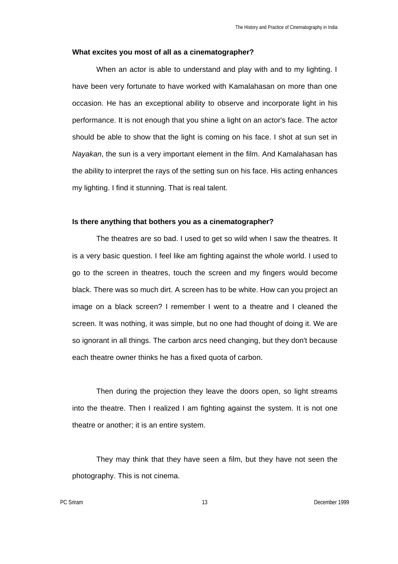#### **What excites you most of all as a cinematographer?**

When an actor is able to understand and play with and to my lighting. I have been very fortunate to have worked with Kamalahasan on more than one occasion. He has an exceptional ability to observe and incorporate light in his performance. It is not enough that you shine a light on an actor's face. The actor should be able to show that the light is coming on his face. I shot at sun set in *Nayakan*, the sun is a very important element in the film. And Kamalahasan has the ability to interpret the rays of the setting sun on his face. His acting enhances my lighting. I find it stunning. That is real talent.

### **Is there anything that bothers you as a cinematographer?**

The theatres are so bad. I used to get so wild when I saw the theatres. It is a very basic question. I feel like am fighting against the whole world. I used to go to the screen in theatres, touch the screen and my fingers would become black. There was so much dirt. A screen has to be white. How can you project an image on a black screen? I remember I went to a theatre and I cleaned the screen. It was nothing, it was simple, but no one had thought of doing it. We are so ignorant in all things. The carbon arcs need changing, but they don't because each theatre owner thinks he has a fixed quota of carbon.

Then during the projection they leave the doors open, so light streams into the theatre. Then I realized I am fighting against the system. It is not one theatre or another; it is an entire system.

They may think that they have seen a film, but they have not seen the photography. This is not cinema.